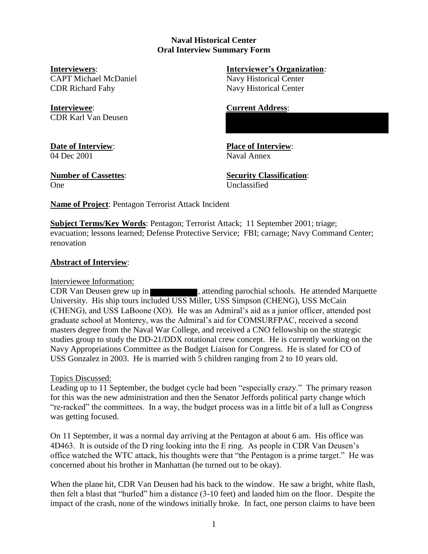# **Naval Historical Center Oral Interview Summary Form**

CAPT Michael McDaniel Navy Historical Center CDR Richard Fahy Navy Historical Center

**Interviewee**: **Current Address**: CDR Karl Van Deusen

04 Dec 2001 Naval Annex

One Unclassified

**Interviewers**: **Interviewer's Organization**:

**Date of Interview**: **Place of Interview**:

**Number of Cassettes**: **Security Classification**:

**Name of Project**: Pentagon Terrorist Attack Incident

**Subject Terms/Key Words**: Pentagon; Terrorist Attack; 11 September 2001; triage; evacuation; lessons learned; Defense Protective Service; FBI; carnage; Navy Command Center; renovation

# **Abstract of Interview**:

# Interviewee Information:

CDR Van Deusen grew up in **EXECUTE:** , attending parochial schools. He attended Marquette University. His ship tours included USS Miller, USS Simpson (CHENG), USS McCain (CHENG), and USS LaBoone (XO). He was an Admiral's aid as a junior officer, attended post graduate school at Monterey, was the Admiral's aid for COMSURFPAC, received a second masters degree from the Naval War College, and received a CNO fellowship on the strategic studies group to study the DD-21/DDX rotational crew concept. He is currently working on the Navy Appropriations Committee as the Budget Liaison for Congress. He is slated for CO of USS Gonzalez in 2003. He is married with 5 children ranging from 2 to 10 years old.

# Topics Discussed:

Leading up to 11 September, the budget cycle had been "especially crazy." The primary reason for this was the new administration and then the Senator Jeffords political party change which "re-racked" the committees. In a way, the budget process was in a little bit of a lull as Congress was getting focused.

On 11 September, it was a normal day arriving at the Pentagon at about 6 am. His office was 4D463. It is outside of the D ring looking into the E ring. As people in CDR Van Deusen's office watched the WTC attack, his thoughts were that "the Pentagon is a prime target." He was concerned about his brother in Manhattan (he turned out to be okay).

When the plane hit, CDR Van Deusen had his back to the window. He saw a bright, white flash, then felt a blast that "hurled" him a distance (3-10 feet) and landed him on the floor. Despite the impact of the crash, none of the windows initially broke. In fact, one person claims to have been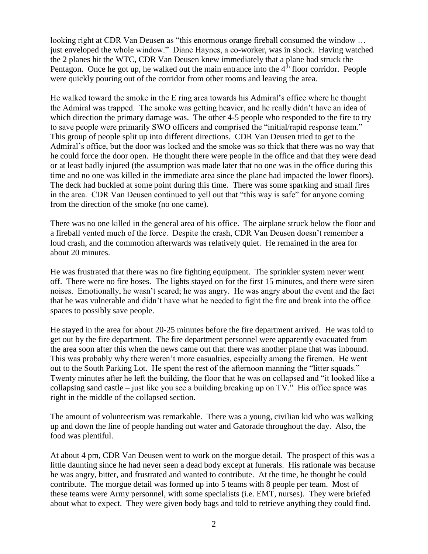looking right at CDR Van Deusen as "this enormous orange fireball consumed the window … just enveloped the whole window." Diane Haynes, a co-worker, was in shock. Having watched the 2 planes hit the WTC, CDR Van Deusen knew immediately that a plane had struck the Pentagon. Once he got up, he walked out the main entrance into the  $4<sup>th</sup>$  floor corridor. People were quickly pouring out of the corridor from other rooms and leaving the area.

He walked toward the smoke in the E ring area towards his Admiral's office where he thought the Admiral was trapped. The smoke was getting heavier, and he really didn't have an idea of which direction the primary damage was. The other 4-5 people who responded to the fire to try to save people were primarily SWO officers and comprised the "initial/rapid response team." This group of people split up into different directions. CDR Van Deusen tried to get to the Admiral's office, but the door was locked and the smoke was so thick that there was no way that he could force the door open. He thought there were people in the office and that they were dead or at least badly injured (the assumption was made later that no one was in the office during this time and no one was killed in the immediate area since the plane had impacted the lower floors). The deck had buckled at some point during this time. There was some sparking and small fires in the area. CDR Van Deusen continued to yell out that "this way is safe" for anyone coming from the direction of the smoke (no one came).

There was no one killed in the general area of his office. The airplane struck below the floor and a fireball vented much of the force. Despite the crash, CDR Van Deusen doesn't remember a loud crash, and the commotion afterwards was relatively quiet. He remained in the area for about 20 minutes.

He was frustrated that there was no fire fighting equipment. The sprinkler system never went off. There were no fire hoses. The lights stayed on for the first 15 minutes, and there were siren noises. Emotionally, he wasn't scared; he was angry. He was angry about the event and the fact that he was vulnerable and didn't have what he needed to fight the fire and break into the office spaces to possibly save people.

He stayed in the area for about 20-25 minutes before the fire department arrived. He was told to get out by the fire department. The fire department personnel were apparently evacuated from the area soon after this when the news came out that there was another plane that was inbound. This was probably why there weren't more casualties, especially among the firemen. He went out to the South Parking Lot. He spent the rest of the afternoon manning the "litter squads." Twenty minutes after he left the building, the floor that he was on collapsed and "it looked like a collapsing sand castle – just like you see a building breaking up on TV." His office space was right in the middle of the collapsed section.

The amount of volunteerism was remarkable. There was a young, civilian kid who was walking up and down the line of people handing out water and Gatorade throughout the day. Also, the food was plentiful.

At about 4 pm, CDR Van Deusen went to work on the morgue detail. The prospect of this was a little daunting since he had never seen a dead body except at funerals. His rationale was because he was angry, bitter, and frustrated and wanted to contribute. At the time, he thought he could contribute. The morgue detail was formed up into 5 teams with 8 people per team. Most of these teams were Army personnel, with some specialists (i.e. EMT, nurses). They were briefed about what to expect. They were given body bags and told to retrieve anything they could find.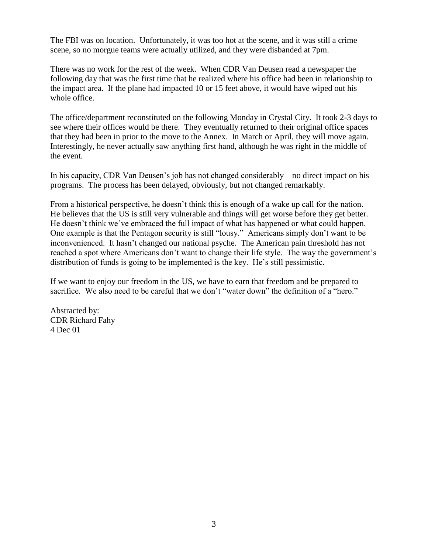The FBI was on location. Unfortunately, it was too hot at the scene, and it was still a crime scene, so no morgue teams were actually utilized, and they were disbanded at 7pm.

There was no work for the rest of the week. When CDR Van Deusen read a newspaper the following day that was the first time that he realized where his office had been in relationship to the impact area. If the plane had impacted 10 or 15 feet above, it would have wiped out his whole office.

The office/department reconstituted on the following Monday in Crystal City. It took 2-3 days to see where their offices would be there. They eventually returned to their original office spaces that they had been in prior to the move to the Annex. In March or April, they will move again. Interestingly, he never actually saw anything first hand, although he was right in the middle of the event.

In his capacity, CDR Van Deusen's job has not changed considerably – no direct impact on his programs. The process has been delayed, obviously, but not changed remarkably.

From a historical perspective, he doesn't think this is enough of a wake up call for the nation. He believes that the US is still very vulnerable and things will get worse before they get better. He doesn't think we've embraced the full impact of what has happened or what could happen. One example is that the Pentagon security is still "lousy." Americans simply don't want to be inconvenienced. It hasn't changed our national psyche. The American pain threshold has not reached a spot where Americans don't want to change their life style. The way the government's distribution of funds is going to be implemented is the key. He's still pessimistic.

If we want to enjoy our freedom in the US, we have to earn that freedom and be prepared to sacrifice. We also need to be careful that we don't "water down" the definition of a "hero."

Abstracted by: CDR Richard Fahy 4 Dec 01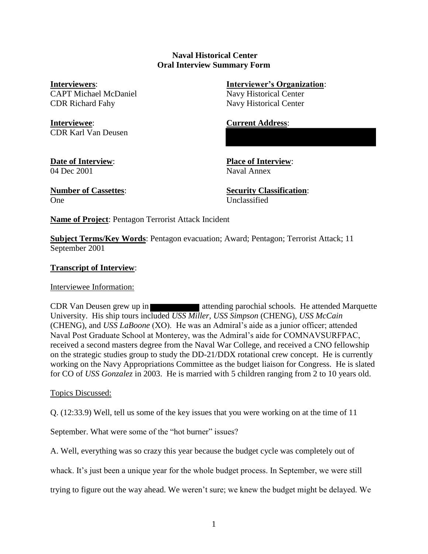## **Naval Historical Center Oral Interview Summary Form**

**Interviewers**: **Interviewer's Organization**: CAPT Michael McDaniel Navy Historical Center CDR Richard Fahy Navy Historical Center

**Interviewee**: **Current Address**: CDR Karl Van Deusen

04 Dec 2001 Naval Annex

**Date of Interview**: **Place of Interview**:

One Unclassified

**Number of Cassettes**: **Security Classification**:

**Name of Project**: Pentagon Terrorist Attack Incident

**Subject Terms/Key Words**: Pentagon evacuation; Award; Pentagon; Terrorist Attack; 11 September 2001

# **Transcript of Interview**:

Interviewee Information:

CDR Van Deusen grew up in **attending parochial schools**. He attended Marquette University. His ship tours included *USS Miller, USS Simpson* (CHENG), *USS McCain* (CHENG), and *USS LaBoone* (XO). He was an Admiral's aide as a junior officer; attended Naval Post Graduate School at Monterey, was the Admiral's aide for COMNAVSURFPAC, received a second masters degree from the Naval War College, and received a CNO fellowship on the strategic studies group to study the DD-21/DDX rotational crew concept. He is currently working on the Navy Appropriations Committee as the budget liaison for Congress. He is slated for CO of *USS Gonzalez* in 2003. He is married with 5 children ranging from 2 to 10 years old.

# Topics Discussed:

Q. (12:33.9) Well, tell us some of the key issues that you were working on at the time of 11

September. What were some of the "hot burner" issues?

A. Well, everything was so crazy this year because the budget cycle was completely out of

whack. It's just been a unique year for the whole budget process. In September, we were still

trying to figure out the way ahead. We weren't sure; we knew the budget might be delayed. We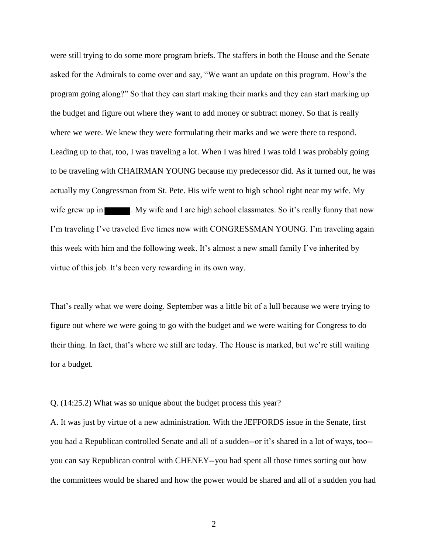were still trying to do some more program briefs. The staffers in both the House and the Senate asked for the Admirals to come over and say, "We want an update on this program. How's the program going along?" So that they can start making their marks and they can start marking up the budget and figure out where they want to add money or subtract money. So that is really where we were. We knew they were formulating their marks and we were there to respond. Leading up to that, too, I was traveling a lot. When I was hired I was told I was probably going to be traveling with CHAIRMAN YOUNG because my predecessor did. As it turned out, he was actually my Congressman from St. Pete. His wife went to high school right near my wife. My wife grew up in  $\blacksquare$ . My wife and I are high school classmates. So it's really funny that now I'm traveling I've traveled five times now with CONGRESSMAN YOUNG. I'm traveling again this week with him and the following week. It's almost a new small family I've inherited by virtue of this job. It's been very rewarding in its own way.

That's really what we were doing. September was a little bit of a lull because we were trying to figure out where we were going to go with the budget and we were waiting for Congress to do their thing. In fact, that's where we still are today. The House is marked, but we're still waiting for a budget.

Q. (14:25.2) What was so unique about the budget process this year?

A. It was just by virtue of a new administration. With the JEFFORDS issue in the Senate, first you had a Republican controlled Senate and all of a sudden--or it's shared in a lot of ways, too- you can say Republican control with CHENEY--you had spent all those times sorting out how the committees would be shared and how the power would be shared and all of a sudden you had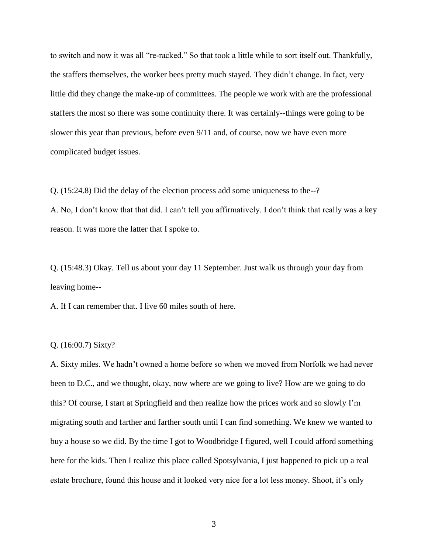to switch and now it was all "re-racked." So that took a little while to sort itself out. Thankfully, the staffers themselves, the worker bees pretty much stayed. They didn't change. In fact, very little did they change the make-up of committees. The people we work with are the professional staffers the most so there was some continuity there. It was certainly--things were going to be slower this year than previous, before even 9/11 and, of course, now we have even more complicated budget issues.

Q. (15:24.8) Did the delay of the election process add some uniqueness to the--? A. No, I don't know that that did. I can't tell you affirmatively. I don't think that really was a key reason. It was more the latter that I spoke to.

Q. (15:48.3) Okay. Tell us about your day 11 September. Just walk us through your day from leaving home--

A. If I can remember that. I live 60 miles south of here.

### Q. (16:00.7) Sixty?

A. Sixty miles. We hadn't owned a home before so when we moved from Norfolk we had never been to D.C., and we thought, okay, now where are we going to live? How are we going to do this? Of course, I start at Springfield and then realize how the prices work and so slowly I'm migrating south and farther and farther south until I can find something. We knew we wanted to buy a house so we did. By the time I got to Woodbridge I figured, well I could afford something here for the kids. Then I realize this place called Spotsylvania, I just happened to pick up a real estate brochure, found this house and it looked very nice for a lot less money. Shoot, it's only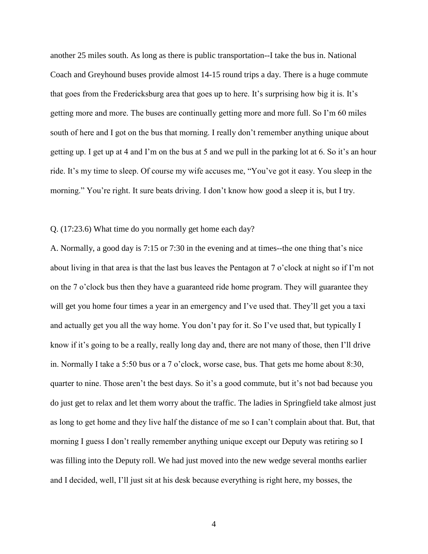another 25 miles south. As long as there is public transportation--I take the bus in. National Coach and Greyhound buses provide almost 14-15 round trips a day. There is a huge commute that goes from the Fredericksburg area that goes up to here. It's surprising how big it is. It's getting more and more. The buses are continually getting more and more full. So I'm 60 miles south of here and I got on the bus that morning. I really don't remember anything unique about getting up. I get up at 4 and I'm on the bus at 5 and we pull in the parking lot at 6. So it's an hour ride. It's my time to sleep. Of course my wife accuses me, "You've got it easy. You sleep in the morning." You're right. It sure beats driving. I don't know how good a sleep it is, but I try.

## Q. (17:23.6) What time do you normally get home each day?

A. Normally, a good day is 7:15 or 7:30 in the evening and at times--the one thing that's nice about living in that area is that the last bus leaves the Pentagon at 7 o'clock at night so if I'm not on the 7 o'clock bus then they have a guaranteed ride home program. They will guarantee they will get you home four times a year in an emergency and I've used that. They'll get you a taxi and actually get you all the way home. You don't pay for it. So I've used that, but typically I know if it's going to be a really, really long day and, there are not many of those, then I'll drive in. Normally I take a 5:50 bus or a 7 o'clock, worse case, bus. That gets me home about 8:30, quarter to nine. Those aren't the best days. So it's a good commute, but it's not bad because you do just get to relax and let them worry about the traffic. The ladies in Springfield take almost just as long to get home and they live half the distance of me so I can't complain about that. But, that morning I guess I don't really remember anything unique except our Deputy was retiring so I was filling into the Deputy roll. We had just moved into the new wedge several months earlier and I decided, well, I'll just sit at his desk because everything is right here, my bosses, the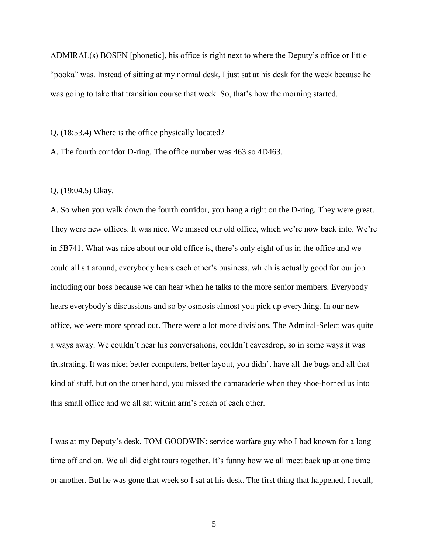ADMIRAL(s) BOSEN [phonetic], his office is right next to where the Deputy's office or little "pooka" was. Instead of sitting at my normal desk, I just sat at his desk for the week because he was going to take that transition course that week. So, that's how the morning started.

Q. (18:53.4) Where is the office physically located?

A. The fourth corridor D-ring. The office number was 463 so 4D463.

Q. (19:04.5) Okay.

A. So when you walk down the fourth corridor, you hang a right on the D-ring. They were great. They were new offices. It was nice. We missed our old office, which we're now back into. We're in 5B741. What was nice about our old office is, there's only eight of us in the office and we could all sit around, everybody hears each other's business, which is actually good for our job including our boss because we can hear when he talks to the more senior members. Everybody hears everybody's discussions and so by osmosis almost you pick up everything. In our new office, we were more spread out. There were a lot more divisions. The Admiral-Select was quite a ways away. We couldn't hear his conversations, couldn't eavesdrop, so in some ways it was frustrating. It was nice; better computers, better layout, you didn't have all the bugs and all that kind of stuff, but on the other hand, you missed the camaraderie when they shoe-horned us into this small office and we all sat within arm's reach of each other.

I was at my Deputy's desk, TOM GOODWIN; service warfare guy who I had known for a long time off and on. We all did eight tours together. It's funny how we all meet back up at one time or another. But he was gone that week so I sat at his desk. The first thing that happened, I recall,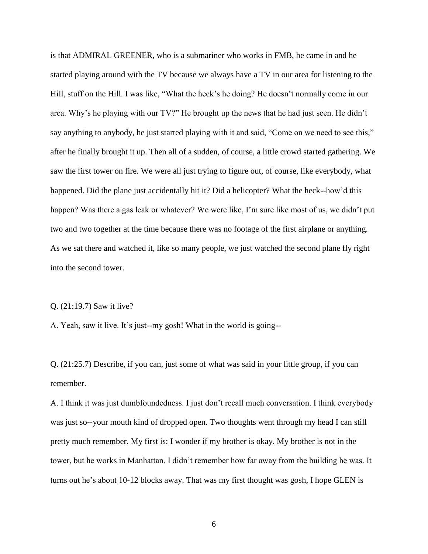is that ADMIRAL GREENER, who is a submariner who works in FMB, he came in and he started playing around with the TV because we always have a TV in our area for listening to the Hill, stuff on the Hill. I was like, "What the heck's he doing? He doesn't normally come in our area. Why's he playing with our TV?" He brought up the news that he had just seen. He didn't say anything to anybody, he just started playing with it and said, "Come on we need to see this," after he finally brought it up. Then all of a sudden, of course, a little crowd started gathering. We saw the first tower on fire. We were all just trying to figure out, of course, like everybody, what happened. Did the plane just accidentally hit it? Did a helicopter? What the heck--how'd this happen? Was there a gas leak or whatever? We were like, I'm sure like most of us, we didn't put two and two together at the time because there was no footage of the first airplane or anything. As we sat there and watched it, like so many people, we just watched the second plane fly right into the second tower.

#### Q. (21:19.7) Saw it live?

A. Yeah, saw it live. It's just--my gosh! What in the world is going--

Q. (21:25.7) Describe, if you can, just some of what was said in your little group, if you can remember.

A. I think it was just dumbfoundedness. I just don't recall much conversation. I think everybody was just so--your mouth kind of dropped open. Two thoughts went through my head I can still pretty much remember. My first is: I wonder if my brother is okay. My brother is not in the tower, but he works in Manhattan. I didn't remember how far away from the building he was. It turns out he's about 10-12 blocks away. That was my first thought was gosh, I hope GLEN is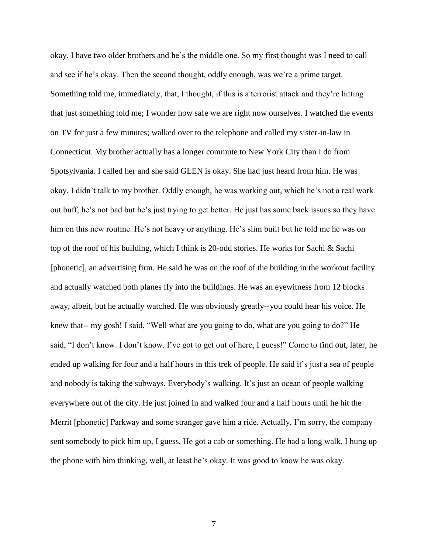okay. I have two older brothers and he's the middle one. So my first thought was I need to call and see if he's okay. Then the second thought, oddly enough, was we're a prime target. Something told me, immediately, that, I thought, if this is a terrorist attack and they're hitting that just something told me; I wonder how safe we are right now ourselves. I watched the events on TV for just a few minutes; walked over to the telephone and called my sister-in-law in Connecticut. My brother actually has a longer commute to New York City than I do from Spotsylvania. I called her and she said GLEN is okay. She had just heard from him. He was okay. I didn't talk to my brother. Oddly enough, he was working out, which he's not a real work out buff, he's not bad but he's just trying to get better. He just has some back issues so they have him on this new routine. He's not heavy or anything. He's slim built but he told me he was on top of the roof of his building, which I think is 20-odd stories. He works for Sachi & Sachi [phonetic], an advertising firm. He said he was on the roof of the building in the workout facility and actually watched both planes fly into the buildings. He was an eyewitness from 12 blocks away, albeit, but he actually watched. He was obviously greatly--you could hear his voice. He knew that-- my gosh! I said, "Well what are you going to do, what are you going to do?" He said, "I don't know. I don't know. I've got to get out of here, I guess!" Come to find out, later, he ended up walking for four and a half hours in this trek of people. He said it's just a sea of people and nobody is taking the subways. Everybody's walking. It's just an ocean of people walking everywhere out of the city. He just joined in and walked four and a half hours until he hit the Merrit [phonetic] Parkway and some stranger gave him a ride. Actually, I'm sorry, the company sent somebody to pick him up, I guess. He got a cab or something. He had a long walk. I hung up the phone with him thinking, well, at least he's okay. It was good to know he was okay.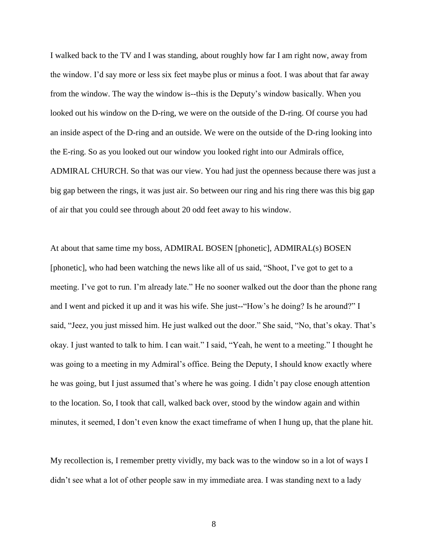I walked back to the TV and I was standing, about roughly how far I am right now, away from the window. I'd say more or less six feet maybe plus or minus a foot. I was about that far away from the window. The way the window is--this is the Deputy's window basically. When you looked out his window on the D-ring, we were on the outside of the D-ring. Of course you had an inside aspect of the D-ring and an outside. We were on the outside of the D-ring looking into the E-ring. So as you looked out our window you looked right into our Admirals office, ADMIRAL CHURCH. So that was our view. You had just the openness because there was just a big gap between the rings, it was just air. So between our ring and his ring there was this big gap of air that you could see through about 20 odd feet away to his window.

At about that same time my boss, ADMIRAL BOSEN [phonetic], ADMIRAL(s) BOSEN [phonetic], who had been watching the news like all of us said, "Shoot, I've got to get to a meeting. I've got to run. I'm already late." He no sooner walked out the door than the phone rang and I went and picked it up and it was his wife. She just--"How's he doing? Is he around?" I said, "Jeez, you just missed him. He just walked out the door." She said, "No, that's okay. That's okay. I just wanted to talk to him. I can wait." I said, "Yeah, he went to a meeting." I thought he was going to a meeting in my Admiral's office. Being the Deputy, I should know exactly where he was going, but I just assumed that's where he was going. I didn't pay close enough attention to the location. So, I took that call, walked back over, stood by the window again and within minutes, it seemed, I don't even know the exact timeframe of when I hung up, that the plane hit.

My recollection is, I remember pretty vividly, my back was to the window so in a lot of ways I didn't see what a lot of other people saw in my immediate area. I was standing next to a lady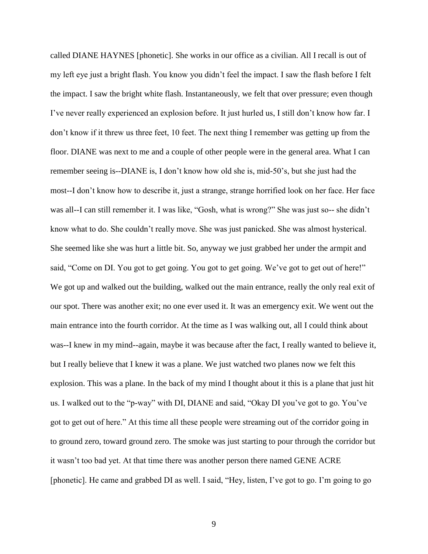called DIANE HAYNES [phonetic]. She works in our office as a civilian. All I recall is out of my left eye just a bright flash. You know you didn't feel the impact. I saw the flash before I felt the impact. I saw the bright white flash. Instantaneously, we felt that over pressure; even though I've never really experienced an explosion before. It just hurled us, I still don't know how far. I don't know if it threw us three feet, 10 feet. The next thing I remember was getting up from the floor. DIANE was next to me and a couple of other people were in the general area. What I can remember seeing is--DIANE is, I don't know how old she is, mid-50's, but she just had the most--I don't know how to describe it, just a strange, strange horrified look on her face. Her face was all--I can still remember it. I was like, "Gosh, what is wrong?" She was just so-- she didn't know what to do. She couldn't really move. She was just panicked. She was almost hysterical. She seemed like she was hurt a little bit. So, anyway we just grabbed her under the armpit and said, "Come on DI. You got to get going. You got to get going. We've got to get out of here!" We got up and walked out the building, walked out the main entrance, really the only real exit of our spot. There was another exit; no one ever used it. It was an emergency exit. We went out the main entrance into the fourth corridor. At the time as I was walking out, all I could think about was--I knew in my mind--again, maybe it was because after the fact, I really wanted to believe it, but I really believe that I knew it was a plane. We just watched two planes now we felt this explosion. This was a plane. In the back of my mind I thought about it this is a plane that just hit us. I walked out to the "p-way" with DI, DIANE and said, "Okay DI you've got to go. You've got to get out of here." At this time all these people were streaming out of the corridor going in to ground zero, toward ground zero. The smoke was just starting to pour through the corridor but it wasn't too bad yet. At that time there was another person there named GENE ACRE [phonetic]. He came and grabbed DI as well. I said, "Hey, listen, I've got to go. I'm going to go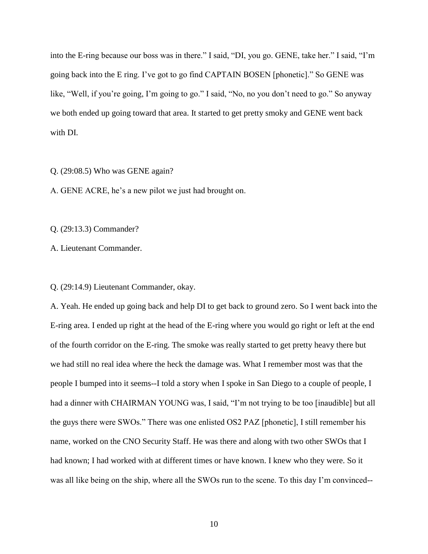into the E-ring because our boss was in there." I said, "DI, you go. GENE, take her." I said, "I'm going back into the E ring. I've got to go find CAPTAIN BOSEN [phonetic]." So GENE was like, "Well, if you're going, I'm going to go." I said, "No, no you don't need to go." So anyway we both ended up going toward that area. It started to get pretty smoky and GENE went back with DI.

Q. (29:08.5) Who was GENE again?

A. GENE ACRE, he's a new pilot we just had brought on.

Q. (29:13.3) Commander?

A. Lieutenant Commander.

Q. (29:14.9) Lieutenant Commander, okay.

A. Yeah. He ended up going back and help DI to get back to ground zero. So I went back into the E-ring area. I ended up right at the head of the E-ring where you would go right or left at the end of the fourth corridor on the E-ring. The smoke was really started to get pretty heavy there but we had still no real idea where the heck the damage was. What I remember most was that the people I bumped into it seems--I told a story when I spoke in San Diego to a couple of people, I had a dinner with CHAIRMAN YOUNG was, I said, "I'm not trying to be too [inaudible] but all the guys there were SWOs." There was one enlisted OS2 PAZ [phonetic], I still remember his name, worked on the CNO Security Staff. He was there and along with two other SWOs that I had known; I had worked with at different times or have known. I knew who they were. So it was all like being on the ship, where all the SWOs run to the scene. To this day I'm convinced--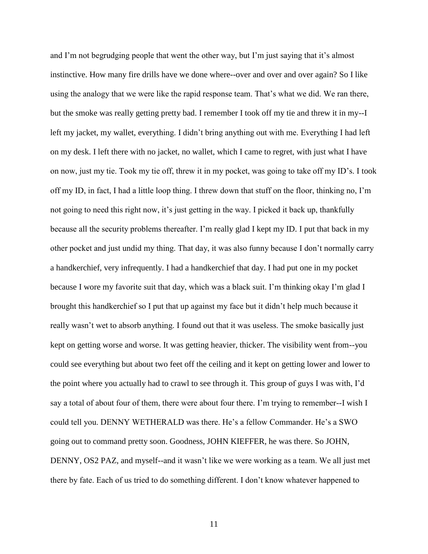and I'm not begrudging people that went the other way, but I'm just saying that it's almost instinctive. How many fire drills have we done where--over and over and over again? So I like using the analogy that we were like the rapid response team. That's what we did. We ran there, but the smoke was really getting pretty bad. I remember I took off my tie and threw it in my--I left my jacket, my wallet, everything. I didn't bring anything out with me. Everything I had left on my desk. I left there with no jacket, no wallet, which I came to regret, with just what I have on now, just my tie. Took my tie off, threw it in my pocket, was going to take off my ID's. I took off my ID, in fact, I had a little loop thing. I threw down that stuff on the floor, thinking no, I'm not going to need this right now, it's just getting in the way. I picked it back up, thankfully because all the security problems thereafter. I'm really glad I kept my ID. I put that back in my other pocket and just undid my thing. That day, it was also funny because I don't normally carry a handkerchief, very infrequently. I had a handkerchief that day. I had put one in my pocket because I wore my favorite suit that day, which was a black suit. I'm thinking okay I'm glad I brought this handkerchief so I put that up against my face but it didn't help much because it really wasn't wet to absorb anything. I found out that it was useless. The smoke basically just kept on getting worse and worse. It was getting heavier, thicker. The visibility went from--you could see everything but about two feet off the ceiling and it kept on getting lower and lower to the point where you actually had to crawl to see through it. This group of guys I was with, I'd say a total of about four of them, there were about four there. I'm trying to remember--I wish I could tell you. DENNY WETHERALD was there. He's a fellow Commander. He's a SWO going out to command pretty soon. Goodness, JOHN KIEFFER, he was there. So JOHN, DENNY, OS2 PAZ, and myself--and it wasn't like we were working as a team. We all just met there by fate. Each of us tried to do something different. I don't know whatever happened to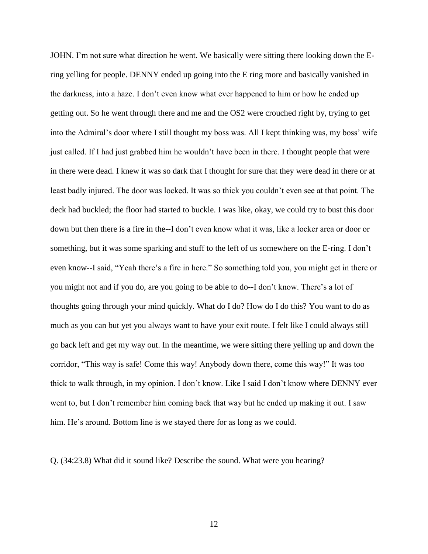JOHN. I'm not sure what direction he went. We basically were sitting there looking down the Ering yelling for people. DENNY ended up going into the E ring more and basically vanished in the darkness, into a haze. I don't even know what ever happened to him or how he ended up getting out. So he went through there and me and the OS2 were crouched right by, trying to get into the Admiral's door where I still thought my boss was. All I kept thinking was, my boss' wife just called. If I had just grabbed him he wouldn't have been in there. I thought people that were in there were dead. I knew it was so dark that I thought for sure that they were dead in there or at least badly injured. The door was locked. It was so thick you couldn't even see at that point. The deck had buckled; the floor had started to buckle. I was like, okay, we could try to bust this door down but then there is a fire in the--I don't even know what it was, like a locker area or door or something, but it was some sparking and stuff to the left of us somewhere on the E-ring. I don't even know--I said, "Yeah there's a fire in here." So something told you, you might get in there or you might not and if you do, are you going to be able to do--I don't know. There's a lot of thoughts going through your mind quickly. What do I do? How do I do this? You want to do as much as you can but yet you always want to have your exit route. I felt like I could always still go back left and get my way out. In the meantime, we were sitting there yelling up and down the corridor, "This way is safe! Come this way! Anybody down there, come this way!" It was too thick to walk through, in my opinion. I don't know. Like I said I don't know where DENNY ever went to, but I don't remember him coming back that way but he ended up making it out. I saw him. He's around. Bottom line is we stayed there for as long as we could.

Q. (34:23.8) What did it sound like? Describe the sound. What were you hearing?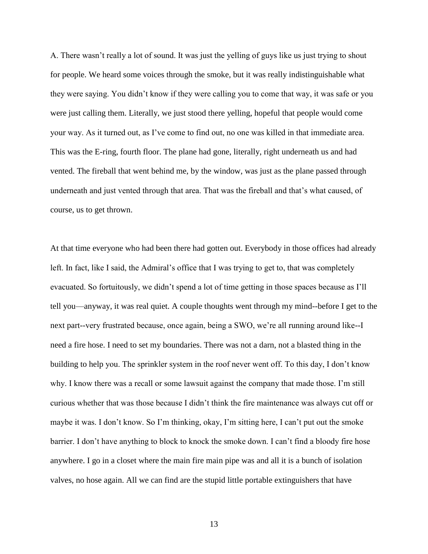A. There wasn't really a lot of sound. It was just the yelling of guys like us just trying to shout for people. We heard some voices through the smoke, but it was really indistinguishable what they were saying. You didn't know if they were calling you to come that way, it was safe or you were just calling them. Literally, we just stood there yelling, hopeful that people would come your way. As it turned out, as I've come to find out, no one was killed in that immediate area. This was the E-ring, fourth floor. The plane had gone, literally, right underneath us and had vented. The fireball that went behind me, by the window, was just as the plane passed through underneath and just vented through that area. That was the fireball and that's what caused, of course, us to get thrown.

At that time everyone who had been there had gotten out. Everybody in those offices had already left. In fact, like I said, the Admiral's office that I was trying to get to, that was completely evacuated. So fortuitously, we didn't spend a lot of time getting in those spaces because as I'll tell you—anyway, it was real quiet. A couple thoughts went through my mind--before I get to the next part--very frustrated because, once again, being a SWO, we're all running around like--I need a fire hose. I need to set my boundaries. There was not a darn, not a blasted thing in the building to help you. The sprinkler system in the roof never went off. To this day, I don't know why. I know there was a recall or some lawsuit against the company that made those. I'm still curious whether that was those because I didn't think the fire maintenance was always cut off or maybe it was. I don't know. So I'm thinking, okay, I'm sitting here, I can't put out the smoke barrier. I don't have anything to block to knock the smoke down. I can't find a bloody fire hose anywhere. I go in a closet where the main fire main pipe was and all it is a bunch of isolation valves, no hose again. All we can find are the stupid little portable extinguishers that have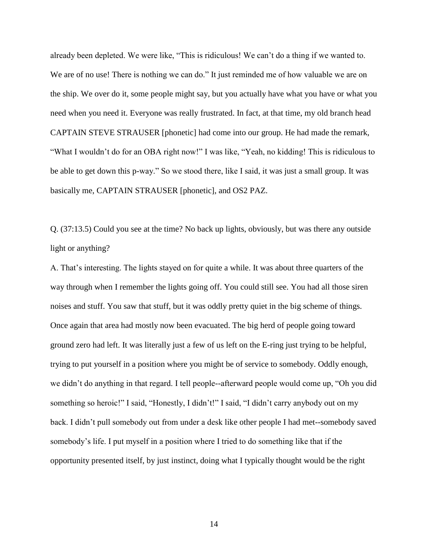already been depleted. We were like, "This is ridiculous! We can't do a thing if we wanted to. We are of no use! There is nothing we can do." It just reminded me of how valuable we are on the ship. We over do it, some people might say, but you actually have what you have or what you need when you need it. Everyone was really frustrated. In fact, at that time, my old branch head CAPTAIN STEVE STRAUSER [phonetic] had come into our group. He had made the remark, "What I wouldn't do for an OBA right now!" I was like, "Yeah, no kidding! This is ridiculous to be able to get down this p-way." So we stood there, like I said, it was just a small group. It was basically me, CAPTAIN STRAUSER [phonetic], and OS2 PAZ.

Q. (37:13.5) Could you see at the time? No back up lights, obviously, but was there any outside light or anything?

A. That's interesting. The lights stayed on for quite a while. It was about three quarters of the way through when I remember the lights going off. You could still see. You had all those siren noises and stuff. You saw that stuff, but it was oddly pretty quiet in the big scheme of things. Once again that area had mostly now been evacuated. The big herd of people going toward ground zero had left. It was literally just a few of us left on the E-ring just trying to be helpful, trying to put yourself in a position where you might be of service to somebody. Oddly enough, we didn't do anything in that regard. I tell people--afterward people would come up, "Oh you did something so heroic!" I said, "Honestly, I didn't!" I said, "I didn't carry anybody out on my back. I didn't pull somebody out from under a desk like other people I had met--somebody saved somebody's life. I put myself in a position where I tried to do something like that if the opportunity presented itself, by just instinct, doing what I typically thought would be the right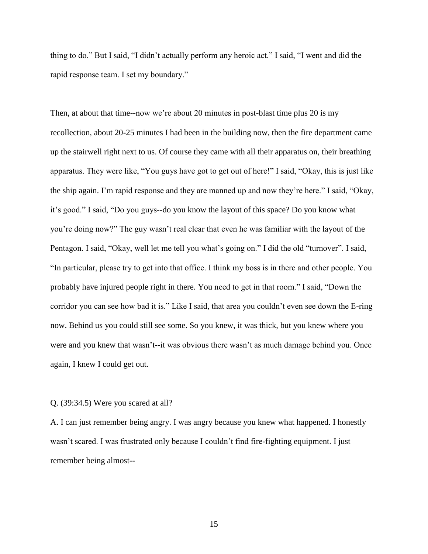thing to do." But I said, "I didn't actually perform any heroic act." I said, "I went and did the rapid response team. I set my boundary."

Then, at about that time--now we're about 20 minutes in post-blast time plus 20 is my recollection, about 20-25 minutes I had been in the building now, then the fire department came up the stairwell right next to us. Of course they came with all their apparatus on, their breathing apparatus. They were like, "You guys have got to get out of here!" I said, "Okay, this is just like the ship again. I'm rapid response and they are manned up and now they're here." I said, "Okay, it's good." I said, "Do you guys--do you know the layout of this space? Do you know what you're doing now?" The guy wasn't real clear that even he was familiar with the layout of the Pentagon. I said, "Okay, well let me tell you what's going on." I did the old "turnover". I said, "In particular, please try to get into that office. I think my boss is in there and other people. You probably have injured people right in there. You need to get in that room." I said, "Down the corridor you can see how bad it is." Like I said, that area you couldn't even see down the E-ring now. Behind us you could still see some. So you knew, it was thick, but you knew where you were and you knew that wasn't--it was obvious there wasn't as much damage behind you. Once again, I knew I could get out.

#### Q. (39:34.5) Were you scared at all?

A. I can just remember being angry. I was angry because you knew what happened. I honestly wasn't scared. I was frustrated only because I couldn't find fire-fighting equipment. I just remember being almost--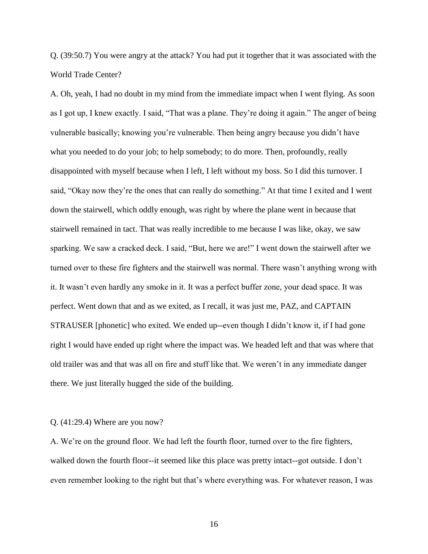Q. (39:50.7) You were angry at the attack? You had put it together that it was associated with the World Trade Center?

A. Oh, yeah, I had no doubt in my mind from the immediate impact when I went flying. As soon as I got up, I knew exactly. I said, "That was a plane. They're doing it again." The anger of being vulnerable basically; knowing you're vulnerable. Then being angry because you didn't have what you needed to do your job; to help somebody; to do more. Then, profoundly, really disappointed with myself because when I left, I left without my boss. So I did this turnover. I said, "Okay now they're the ones that can really do something." At that time I exited and I went down the stairwell, which oddly enough, was right by where the plane went in because that stairwell remained in tact. That was really incredible to me because I was like, okay, we saw sparking. We saw a cracked deck. I said, "But, here we are!" I went down the stairwell after we turned over to these fire fighters and the stairwell was normal. There wasn't anything wrong with it. It wasn't even hardly any smoke in it. It was a perfect buffer zone, your dead space. It was perfect. Went down that and as we exited, as I recall, it was just me, PAZ, and CAPTAIN STRAUSER [phonetic] who exited. We ended up--even though I didn't know it, if I had gone right I would have ended up right where the impact was. We headed left and that was where that old trailer was and that was all on fire and stuff like that. We weren't in any immediate danger there. We just literally hugged the side of the building.

## Q. (41:29.4) Where are you now?

A. We're on the ground floor. We had left the fourth floor, turned over to the fire fighters, walked down the fourth floor--it seemed like this place was pretty intact--got outside. I don't even remember looking to the right but that's where everything was. For whatever reason, I was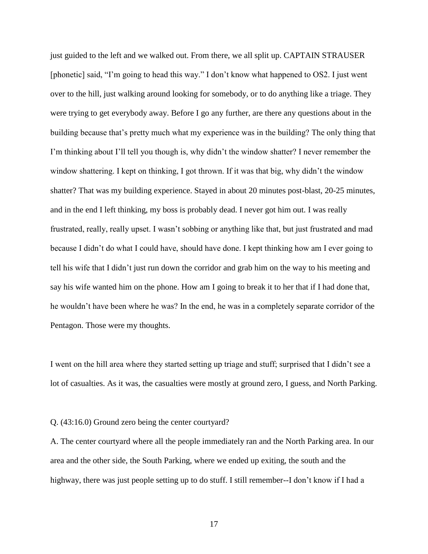just guided to the left and we walked out. From there, we all split up. CAPTAIN STRAUSER [phonetic] said, "I'm going to head this way." I don't know what happened to OS2. I just went over to the hill, just walking around looking for somebody, or to do anything like a triage. They were trying to get everybody away. Before I go any further, are there any questions about in the building because that's pretty much what my experience was in the building? The only thing that I'm thinking about I'll tell you though is, why didn't the window shatter? I never remember the window shattering. I kept on thinking, I got thrown. If it was that big, why didn't the window shatter? That was my building experience. Stayed in about 20 minutes post-blast, 20-25 minutes, and in the end I left thinking, my boss is probably dead. I never got him out. I was really frustrated, really, really upset. I wasn't sobbing or anything like that, but just frustrated and mad because I didn't do what I could have, should have done. I kept thinking how am I ever going to tell his wife that I didn't just run down the corridor and grab him on the way to his meeting and say his wife wanted him on the phone. How am I going to break it to her that if I had done that, he wouldn't have been where he was? In the end, he was in a completely separate corridor of the Pentagon. Those were my thoughts.

I went on the hill area where they started setting up triage and stuff; surprised that I didn't see a lot of casualties. As it was, the casualties were mostly at ground zero, I guess, and North Parking.

## Q. (43:16.0) Ground zero being the center courtyard?

A. The center courtyard where all the people immediately ran and the North Parking area. In our area and the other side, the South Parking, where we ended up exiting, the south and the highway, there was just people setting up to do stuff. I still remember--I don't know if I had a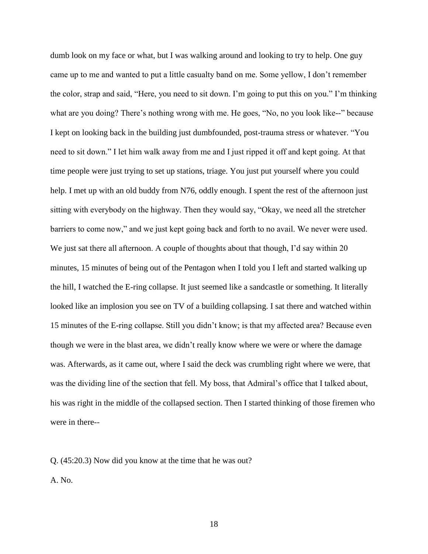dumb look on my face or what, but I was walking around and looking to try to help. One guy came up to me and wanted to put a little casualty band on me. Some yellow, I don't remember the color, strap and said, "Here, you need to sit down. I'm going to put this on you." I'm thinking what are you doing? There's nothing wrong with me. He goes, "No, no you look like--" because I kept on looking back in the building just dumbfounded, post-trauma stress or whatever. "You need to sit down." I let him walk away from me and I just ripped it off and kept going. At that time people were just trying to set up stations, triage. You just put yourself where you could help. I met up with an old buddy from N76, oddly enough. I spent the rest of the afternoon just sitting with everybody on the highway. Then they would say, "Okay, we need all the stretcher barriers to come now," and we just kept going back and forth to no avail. We never were used. We just sat there all afternoon. A couple of thoughts about that though, I'd say within 20 minutes, 15 minutes of being out of the Pentagon when I told you I left and started walking up the hill, I watched the E-ring collapse. It just seemed like a sandcastle or something. It literally looked like an implosion you see on TV of a building collapsing. I sat there and watched within 15 minutes of the E-ring collapse. Still you didn't know; is that my affected area? Because even though we were in the blast area, we didn't really know where we were or where the damage was. Afterwards, as it came out, where I said the deck was crumbling right where we were, that was the dividing line of the section that fell. My boss, that Admiral's office that I talked about, his was right in the middle of the collapsed section. Then I started thinking of those firemen who were in there--

Q. (45:20.3) Now did you know at the time that he was out?

A. No.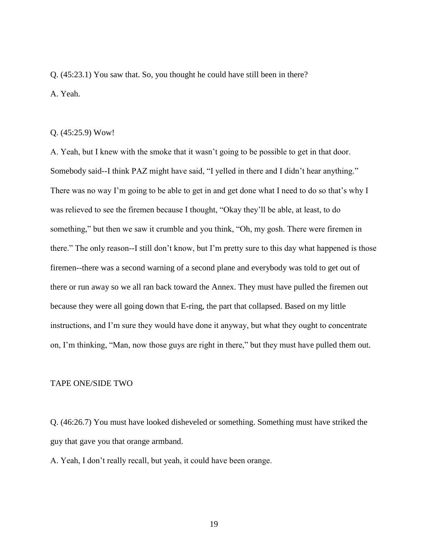Q. (45:23.1) You saw that. So, you thought he could have still been in there? A. Yeah.

#### Q. (45:25.9) Wow!

A. Yeah, but I knew with the smoke that it wasn't going to be possible to get in that door. Somebody said--I think PAZ might have said, "I yelled in there and I didn't hear anything." There was no way I'm going to be able to get in and get done what I need to do so that's why I was relieved to see the firemen because I thought, "Okay they'll be able, at least, to do something," but then we saw it crumble and you think, "Oh, my gosh. There were firemen in there." The only reason--I still don't know, but I'm pretty sure to this day what happened is those firemen--there was a second warning of a second plane and everybody was told to get out of there or run away so we all ran back toward the Annex. They must have pulled the firemen out because they were all going down that E-ring, the part that collapsed. Based on my little instructions, and I'm sure they would have done it anyway, but what they ought to concentrate on, I'm thinking, "Man, now those guys are right in there," but they must have pulled them out.

## TAPE ONE/SIDE TWO

Q. (46:26.7) You must have looked disheveled or something. Something must have striked the guy that gave you that orange armband.

A. Yeah, I don't really recall, but yeah, it could have been orange.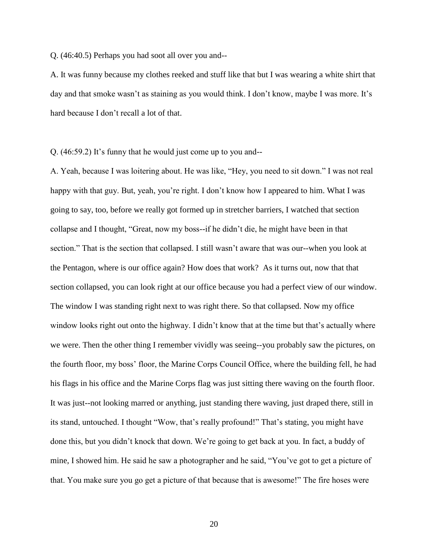Q. (46:40.5) Perhaps you had soot all over you and--

A. It was funny because my clothes reeked and stuff like that but I was wearing a white shirt that day and that smoke wasn't as staining as you would think. I don't know, maybe I was more. It's hard because I don't recall a lot of that.

Q. (46:59.2) It's funny that he would just come up to you and--

A. Yeah, because I was loitering about. He was like, "Hey, you need to sit down." I was not real happy with that guy. But, yeah, you're right. I don't know how I appeared to him. What I was going to say, too, before we really got formed up in stretcher barriers, I watched that section collapse and I thought, "Great, now my boss--if he didn't die, he might have been in that section." That is the section that collapsed. I still wasn't aware that was our--when you look at the Pentagon, where is our office again? How does that work? As it turns out, now that that section collapsed, you can look right at our office because you had a perfect view of our window. The window I was standing right next to was right there. So that collapsed. Now my office window looks right out onto the highway. I didn't know that at the time but that's actually where we were. Then the other thing I remember vividly was seeing--you probably saw the pictures, on the fourth floor, my boss' floor, the Marine Corps Council Office, where the building fell, he had his flags in his office and the Marine Corps flag was just sitting there waving on the fourth floor. It was just--not looking marred or anything, just standing there waving, just draped there, still in its stand, untouched. I thought "Wow, that's really profound!" That's stating, you might have done this, but you didn't knock that down. We're going to get back at you. In fact, a buddy of mine, I showed him. He said he saw a photographer and he said, "You've got to get a picture of that. You make sure you go get a picture of that because that is awesome!" The fire hoses were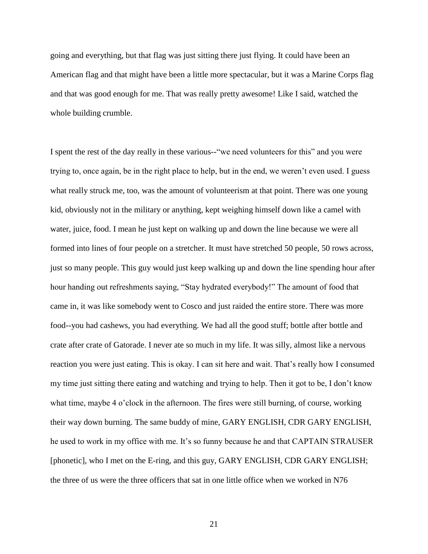going and everything, but that flag was just sitting there just flying. It could have been an American flag and that might have been a little more spectacular, but it was a Marine Corps flag and that was good enough for me. That was really pretty awesome! Like I said, watched the whole building crumble.

I spent the rest of the day really in these various--"we need volunteers for this" and you were trying to, once again, be in the right place to help, but in the end, we weren't even used. I guess what really struck me, too, was the amount of volunteerism at that point. There was one young kid, obviously not in the military or anything, kept weighing himself down like a camel with water, juice, food. I mean he just kept on walking up and down the line because we were all formed into lines of four people on a stretcher. It must have stretched 50 people, 50 rows across, just so many people. This guy would just keep walking up and down the line spending hour after hour handing out refreshments saying, "Stay hydrated everybody!" The amount of food that came in, it was like somebody went to Cosco and just raided the entire store. There was more food--you had cashews, you had everything. We had all the good stuff; bottle after bottle and crate after crate of Gatorade. I never ate so much in my life. It was silly, almost like a nervous reaction you were just eating. This is okay. I can sit here and wait. That's really how I consumed my time just sitting there eating and watching and trying to help. Then it got to be, I don't know what time, maybe 4 o'clock in the afternoon. The fires were still burning, of course, working their way down burning. The same buddy of mine, GARY ENGLISH, CDR GARY ENGLISH, he used to work in my office with me. It's so funny because he and that CAPTAIN STRAUSER [phonetic], who I met on the E-ring, and this guy, GARY ENGLISH, CDR GARY ENGLISH; the three of us were the three officers that sat in one little office when we worked in N76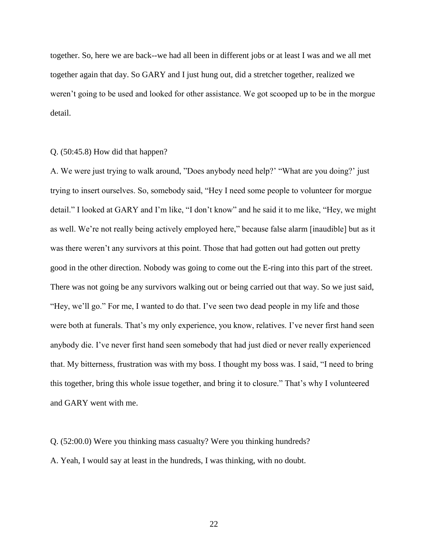together. So, here we are back--we had all been in different jobs or at least I was and we all met together again that day. So GARY and I just hung out, did a stretcher together, realized we weren't going to be used and looked for other assistance. We got scooped up to be in the morgue detail.

### Q. (50:45.8) How did that happen?

A. We were just trying to walk around, "Does anybody need help?' "What are you doing?' just trying to insert ourselves. So, somebody said, "Hey I need some people to volunteer for morgue detail." I looked at GARY and I'm like, "I don't know" and he said it to me like, "Hey, we might as well. We're not really being actively employed here," because false alarm [inaudible] but as it was there weren't any survivors at this point. Those that had gotten out had gotten out pretty good in the other direction. Nobody was going to come out the E-ring into this part of the street. There was not going be any survivors walking out or being carried out that way. So we just said, "Hey, we'll go." For me, I wanted to do that. I've seen two dead people in my life and those were both at funerals. That's my only experience, you know, relatives. I've never first hand seen anybody die. I've never first hand seen somebody that had just died or never really experienced that. My bitterness, frustration was with my boss. I thought my boss was. I said, "I need to bring this together, bring this whole issue together, and bring it to closure." That's why I volunteered and GARY went with me.

Q. (52:00.0) Were you thinking mass casualty? Were you thinking hundreds? A. Yeah, I would say at least in the hundreds, I was thinking, with no doubt.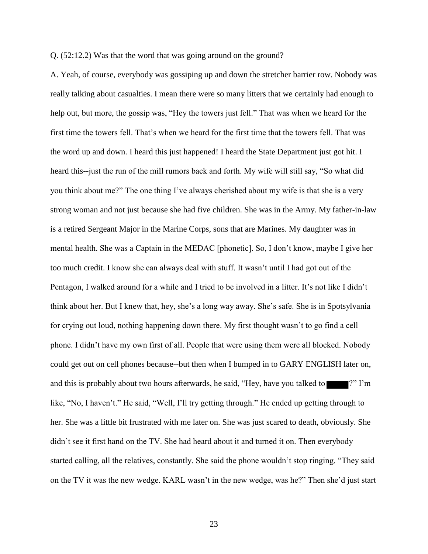Q. (52:12.2) Was that the word that was going around on the ground?

A. Yeah, of course, everybody was gossiping up and down the stretcher barrier row. Nobody was really talking about casualties. I mean there were so many litters that we certainly had enough to help out, but more, the gossip was, "Hey the towers just fell." That was when we heard for the first time the towers fell. That's when we heard for the first time that the towers fell. That was the word up and down. I heard this just happened! I heard the State Department just got hit. I heard this--just the run of the mill rumors back and forth. My wife will still say, "So what did you think about me?" The one thing I've always cherished about my wife is that she is a very strong woman and not just because she had five children. She was in the Army. My father-in-law is a retired Sergeant Major in the Marine Corps, sons that are Marines. My daughter was in mental health. She was a Captain in the MEDAC [phonetic]. So, I don't know, maybe I give her too much credit. I know she can always deal with stuff. It wasn't until I had got out of the Pentagon, I walked around for a while and I tried to be involved in a litter. It's not like I didn't think about her. But I knew that, hey, she's a long way away. She's safe. She is in Spotsylvania for crying out loud, nothing happening down there. My first thought wasn't to go find a cell phone. I didn't have my own first of all. People that were using them were all blocked. Nobody could get out on cell phones because--but then when I bumped in to GARY ENGLISH later on, and this is probably about two hours afterwards, he said, "Hey, have you talked to  $\mathbb{P}$ "?" I'm like, "No, I haven't." He said, "Well, I'll try getting through." He ended up getting through to her. She was a little bit frustrated with me later on. She was just scared to death, obviously. She didn't see it first hand on the TV. She had heard about it and turned it on. Then everybody started calling, all the relatives, constantly. She said the phone wouldn't stop ringing. "They said on the TV it was the new wedge. KARL wasn't in the new wedge, was he?" Then she'd just start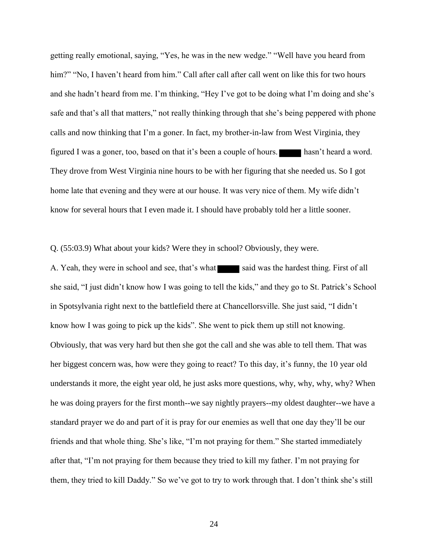getting really emotional, saying, "Yes, he was in the new wedge." "Well have you heard from him?" "No, I haven't heard from him." Call after call after call went on like this for two hours and she hadn't heard from me. I'm thinking, "Hey I've got to be doing what I'm doing and she's safe and that's all that matters," not really thinking through that she's being peppered with phone calls and now thinking that I'm a goner. In fact, my brother-in-law from West Virginia, they figured I was a goner, too, based on that it's been a couple of hours. hasn't heard a word. They drove from West Virginia nine hours to be with her figuring that she needed us. So I got home late that evening and they were at our house. It was very nice of them. My wife didn't know for several hours that I even made it. I should have probably told her a little sooner.

Q. (55:03.9) What about your kids? Were they in school? Obviously, they were.

A. Yeah, they were in school and see, that's what said was the hardest thing. First of all she said, "I just didn't know how I was going to tell the kids," and they go to St. Patrick's School in Spotsylvania right next to the battlefield there at Chancellorsville. She just said, "I didn't know how I was going to pick up the kids". She went to pick them up still not knowing. Obviously, that was very hard but then she got the call and she was able to tell them. That was her biggest concern was, how were they going to react? To this day, it's funny, the 10 year old understands it more, the eight year old, he just asks more questions, why, why, why, why? When he was doing prayers for the first month--we say nightly prayers--my oldest daughter--we have a standard prayer we do and part of it is pray for our enemies as well that one day they'll be our friends and that whole thing. She's like, "I'm not praying for them." She started immediately after that, "I'm not praying for them because they tried to kill my father. I'm not praying for them, they tried to kill Daddy." So we've got to try to work through that. I don't think she's still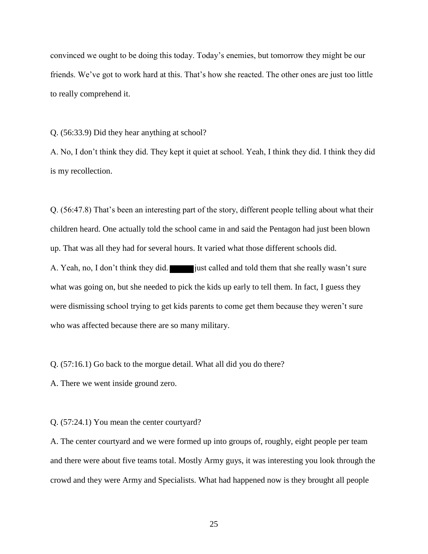convinced we ought to be doing this today. Today's enemies, but tomorrow they might be our friends. We've got to work hard at this. That's how she reacted. The other ones are just too little to really comprehend it.

Q. (56:33.9) Did they hear anything at school?

A. No, I don't think they did. They kept it quiet at school. Yeah, I think they did. I think they did is my recollection.

Q. (56:47.8) That's been an interesting part of the story, different people telling about what their children heard. One actually told the school came in and said the Pentagon had just been blown up. That was all they had for several hours. It varied what those different schools did. A. Yeah, no, I don't think they did. just called and told them that she really wasn't sure what was going on, but she needed to pick the kids up early to tell them. In fact, I guess they were dismissing school trying to get kids parents to come get them because they weren't sure who was affected because there are so many military.

Q. (57:16.1) Go back to the morgue detail. What all did you do there?

A. There we went inside ground zero.

Q. (57:24.1) You mean the center courtyard?

A. The center courtyard and we were formed up into groups of, roughly, eight people per team and there were about five teams total. Mostly Army guys, it was interesting you look through the crowd and they were Army and Specialists. What had happened now is they brought all people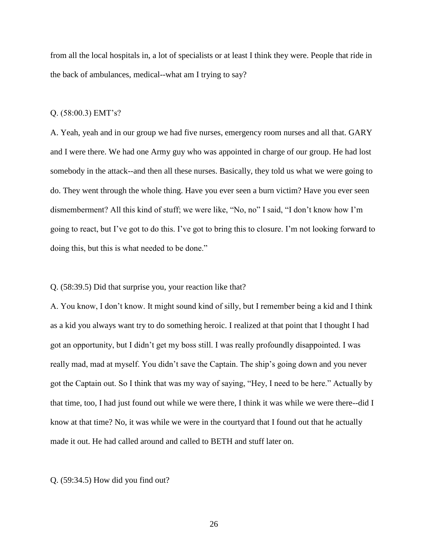from all the local hospitals in, a lot of specialists or at least I think they were. People that ride in the back of ambulances, medical--what am I trying to say?

#### Q. (58:00.3) EMT's?

A. Yeah, yeah and in our group we had five nurses, emergency room nurses and all that. GARY and I were there. We had one Army guy who was appointed in charge of our group. He had lost somebody in the attack--and then all these nurses. Basically, they told us what we were going to do. They went through the whole thing. Have you ever seen a burn victim? Have you ever seen dismemberment? All this kind of stuff; we were like, "No, no" I said, "I don't know how I'm going to react, but I've got to do this. I've got to bring this to closure. I'm not looking forward to doing this, but this is what needed to be done."

### Q. (58:39.5) Did that surprise you, your reaction like that?

A. You know, I don't know. It might sound kind of silly, but I remember being a kid and I think as a kid you always want try to do something heroic. I realized at that point that I thought I had got an opportunity, but I didn't get my boss still. I was really profoundly disappointed. I was really mad, mad at myself. You didn't save the Captain. The ship's going down and you never got the Captain out. So I think that was my way of saying, "Hey, I need to be here." Actually by that time, too, I had just found out while we were there, I think it was while we were there--did I know at that time? No, it was while we were in the courtyard that I found out that he actually made it out. He had called around and called to BETH and stuff later on.

#### Q. (59:34.5) How did you find out?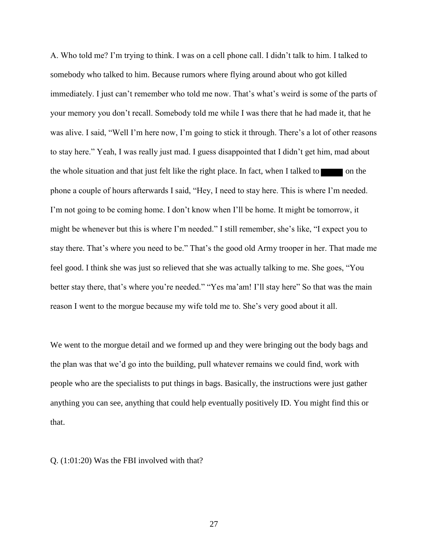A. Who told me? I'm trying to think. I was on a cell phone call. I didn't talk to him. I talked to somebody who talked to him. Because rumors where flying around about who got killed immediately. I just can't remember who told me now. That's what's weird is some of the parts of your memory you don't recall. Somebody told me while I was there that he had made it, that he was alive. I said, "Well I'm here now, I'm going to stick it through. There's a lot of other reasons to stay here." Yeah, I was really just mad. I guess disappointed that I didn't get him, mad about the whole situation and that just felt like the right place. In fact, when I talked to  $\blacksquare$  on the phone a couple of hours afterwards I said, "Hey, I need to stay here. This is where I'm needed. I'm not going to be coming home. I don't know when I'll be home. It might be tomorrow, it might be whenever but this is where I'm needed." I still remember, she's like, "I expect you to stay there. That's where you need to be." That's the good old Army trooper in her. That made me feel good. I think she was just so relieved that she was actually talking to me. She goes, "You better stay there, that's where you're needed." "Yes ma'am! I'll stay here" So that was the main reason I went to the morgue because my wife told me to. She's very good about it all.

We went to the morgue detail and we formed up and they were bringing out the body bags and the plan was that we'd go into the building, pull whatever remains we could find, work with people who are the specialists to put things in bags. Basically, the instructions were just gather anything you can see, anything that could help eventually positively ID. You might find this or that.

Q. (1:01:20) Was the FBI involved with that?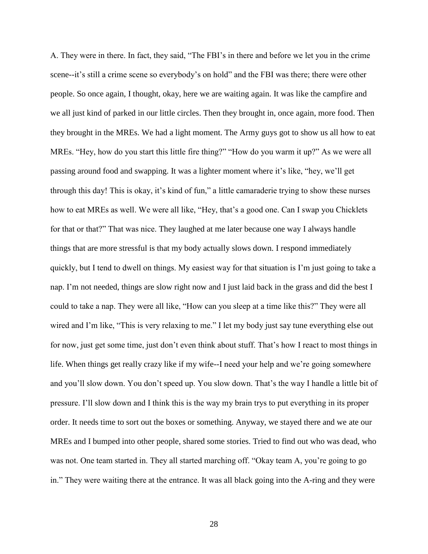A. They were in there. In fact, they said, "The FBI's in there and before we let you in the crime scene--it's still a crime scene so everybody's on hold" and the FBI was there; there were other people. So once again, I thought, okay, here we are waiting again. It was like the campfire and we all just kind of parked in our little circles. Then they brought in, once again, more food. Then they brought in the MREs. We had a light moment. The Army guys got to show us all how to eat MREs. "Hey, how do you start this little fire thing?" "How do you warm it up?" As we were all passing around food and swapping. It was a lighter moment where it's like, "hey, we'll get through this day! This is okay, it's kind of fun," a little camaraderie trying to show these nurses how to eat MREs as well. We were all like, "Hey, that's a good one. Can I swap you Chicklets for that or that?" That was nice. They laughed at me later because one way I always handle things that are more stressful is that my body actually slows down. I respond immediately quickly, but I tend to dwell on things. My easiest way for that situation is I'm just going to take a nap. I'm not needed, things are slow right now and I just laid back in the grass and did the best I could to take a nap. They were all like, "How can you sleep at a time like this?" They were all wired and I'm like, "This is very relaxing to me." I let my body just say tune everything else out for now, just get some time, just don't even think about stuff. That's how I react to most things in life. When things get really crazy like if my wife--I need your help and we're going somewhere and you'll slow down. You don't speed up. You slow down. That's the way I handle a little bit of pressure. I'll slow down and I think this is the way my brain trys to put everything in its proper order. It needs time to sort out the boxes or something. Anyway, we stayed there and we ate our MREs and I bumped into other people, shared some stories. Tried to find out who was dead, who was not. One team started in. They all started marching off. "Okay team A, you're going to go in." They were waiting there at the entrance. It was all black going into the A-ring and they were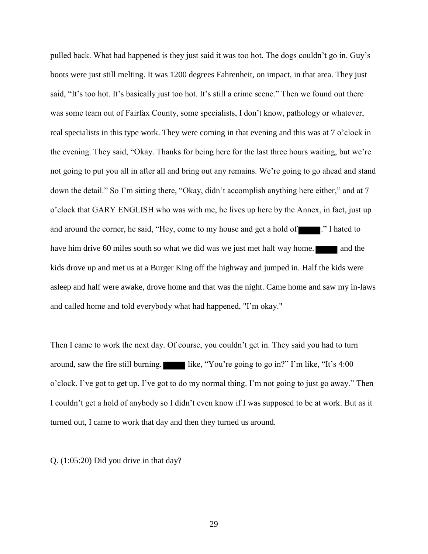pulled back. What had happened is they just said it was too hot. The dogs couldn't go in. Guy's boots were just still melting. It was 1200 degrees Fahrenheit, on impact, in that area. They just said, "It's too hot. It's basically just too hot. It's still a crime scene." Then we found out there was some team out of Fairfax County, some specialists, I don't know, pathology or whatever, real specialists in this type work. They were coming in that evening and this was at 7 o'clock in the evening. They said, "Okay. Thanks for being here for the last three hours waiting, but we're not going to put you all in after all and bring out any remains. We're going to go ahead and stand down the detail." So I'm sitting there, "Okay, didn't accomplish anything here either," and at 7 o'clock that GARY ENGLISH who was with me, he lives up here by the Annex, in fact, just up and around the corner, he said, "Hey, come to my house and get a hold of  $\blacksquare$ ." I hated to have him drive 60 miles south so what we did was we just met half way home. **The last way how** and the kids drove up and met us at a Burger King off the highway and jumped in. Half the kids were asleep and half were awake, drove home and that was the night. Came home and saw my in-laws and called home and told everybody what had happened, "I'm okay."

Then I came to work the next day. Of course, you couldn't get in. They said you had to turn around, saw the fire still burning. like, "You're going to go in?" I'm like, "It's  $4:00$ o'clock. I've got to get up. I've got to do my normal thing. I'm not going to just go away." Then I couldn't get a hold of anybody so I didn't even know if I was supposed to be at work. But as it turned out, I came to work that day and then they turned us around.

Q. (1:05:20) Did you drive in that day?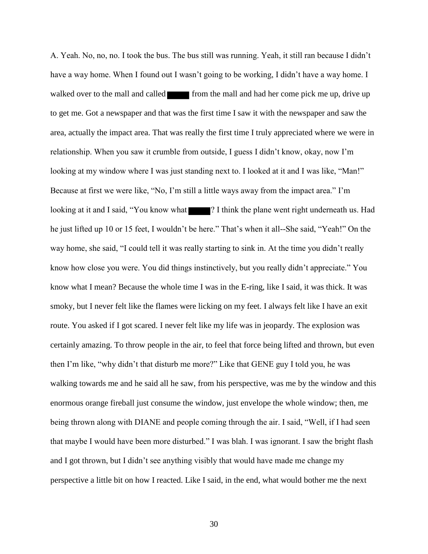A. Yeah. No, no, no. I took the bus. The bus still was running. Yeah, it still ran because I didn't have a way home. When I found out I wasn't going to be working, I didn't have a way home. I walked over to the mall and called from the mall and had her come pick me up, drive up to get me. Got a newspaper and that was the first time I saw it with the newspaper and saw the area, actually the impact area. That was really the first time I truly appreciated where we were in relationship. When you saw it crumble from outside, I guess I didn't know, okay, now I'm looking at my window where I was just standing next to. I looked at it and I was like, "Man!" Because at first we were like, "No, I'm still a little ways away from the impact area." I'm looking at it and I said, "You know what **?** I think the plane went right underneath us. Had he just lifted up 10 or 15 feet, I wouldn't be here." That's when it all--She said, "Yeah!" On the way home, she said, "I could tell it was really starting to sink in. At the time you didn't really know how close you were. You did things instinctively, but you really didn't appreciate." You know what I mean? Because the whole time I was in the E-ring, like I said, it was thick. It was smoky, but I never felt like the flames were licking on my feet. I always felt like I have an exit route. You asked if I got scared. I never felt like my life was in jeopardy. The explosion was certainly amazing. To throw people in the air, to feel that force being lifted and thrown, but even then I'm like, "why didn't that disturb me more?" Like that GENE guy I told you, he was walking towards me and he said all he saw, from his perspective, was me by the window and this enormous orange fireball just consume the window, just envelope the whole window; then, me being thrown along with DIANE and people coming through the air. I said, "Well, if I had seen that maybe I would have been more disturbed." I was blah. I was ignorant. I saw the bright flash and I got thrown, but I didn't see anything visibly that would have made me change my perspective a little bit on how I reacted. Like I said, in the end, what would bother me the next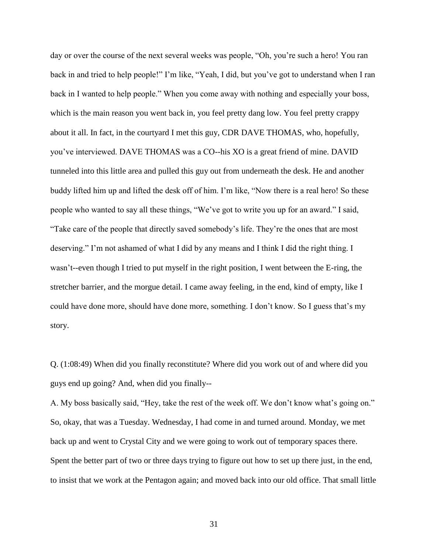day or over the course of the next several weeks was people, "Oh, you're such a hero! You ran back in and tried to help people!" I'm like, "Yeah, I did, but you've got to understand when I ran back in I wanted to help people." When you come away with nothing and especially your boss, which is the main reason you went back in, you feel pretty dang low. You feel pretty crappy about it all. In fact, in the courtyard I met this guy, CDR DAVE THOMAS, who, hopefully, you've interviewed. DAVE THOMAS was a CO--his XO is a great friend of mine. DAVID tunneled into this little area and pulled this guy out from underneath the desk. He and another buddy lifted him up and lifted the desk off of him. I'm like, "Now there is a real hero! So these people who wanted to say all these things, "We've got to write you up for an award." I said, "Take care of the people that directly saved somebody's life. They're the ones that are most deserving." I'm not ashamed of what I did by any means and I think I did the right thing. I wasn't--even though I tried to put myself in the right position, I went between the E-ring, the stretcher barrier, and the morgue detail. I came away feeling, in the end, kind of empty, like I could have done more, should have done more, something. I don't know. So I guess that's my story.

Q. (1:08:49) When did you finally reconstitute? Where did you work out of and where did you guys end up going? And, when did you finally--

A. My boss basically said, "Hey, take the rest of the week off. We don't know what's going on." So, okay, that was a Tuesday. Wednesday, I had come in and turned around. Monday, we met back up and went to Crystal City and we were going to work out of temporary spaces there. Spent the better part of two or three days trying to figure out how to set up there just, in the end, to insist that we work at the Pentagon again; and moved back into our old office. That small little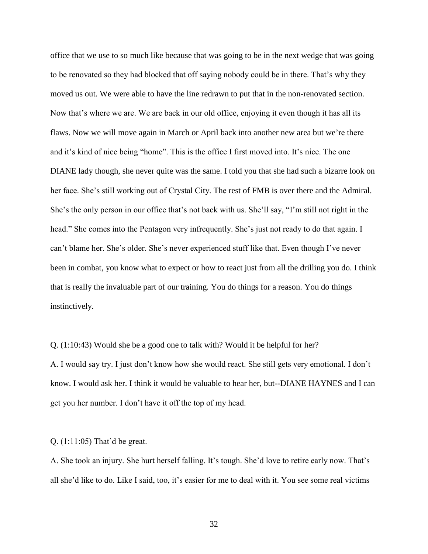office that we use to so much like because that was going to be in the next wedge that was going to be renovated so they had blocked that off saying nobody could be in there. That's why they moved us out. We were able to have the line redrawn to put that in the non-renovated section. Now that's where we are. We are back in our old office, enjoying it even though it has all its flaws. Now we will move again in March or April back into another new area but we're there and it's kind of nice being "home". This is the office I first moved into. It's nice. The one DIANE lady though, she never quite was the same. I told you that she had such a bizarre look on her face. She's still working out of Crystal City. The rest of FMB is over there and the Admiral. She's the only person in our office that's not back with us. She'll say, "I'm still not right in the head." She comes into the Pentagon very infrequently. She's just not ready to do that again. I can't blame her. She's older. She's never experienced stuff like that. Even though I've never been in combat, you know what to expect or how to react just from all the drilling you do. I think that is really the invaluable part of our training. You do things for a reason. You do things instinctively.

Q. (1:10:43) Would she be a good one to talk with? Would it be helpful for her? A. I would say try. I just don't know how she would react. She still gets very emotional. I don't know. I would ask her. I think it would be valuable to hear her, but--DIANE HAYNES and I can get you her number. I don't have it off the top of my head.

#### Q. (1:11:05) That'd be great.

A. She took an injury. She hurt herself falling. It's tough. She'd love to retire early now. That's all she'd like to do. Like I said, too, it's easier for me to deal with it. You see some real victims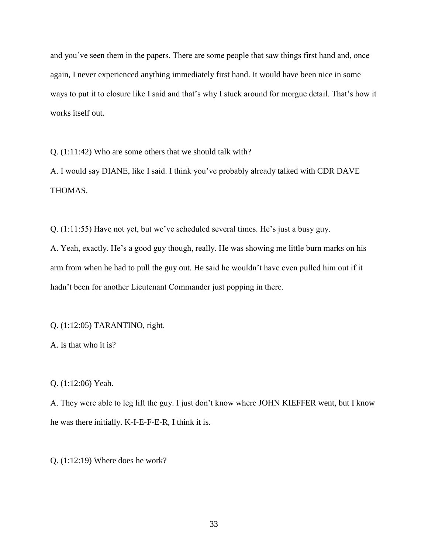and you've seen them in the papers. There are some people that saw things first hand and, once again, I never experienced anything immediately first hand. It would have been nice in some ways to put it to closure like I said and that's why I stuck around for morgue detail. That's how it works itself out.

Q. (1:11:42) Who are some others that we should talk with?

A. I would say DIANE, like I said. I think you've probably already talked with CDR DAVE THOMAS.

Q. (1:11:55) Have not yet, but we've scheduled several times. He's just a busy guy.

A. Yeah, exactly. He's a good guy though, really. He was showing me little burn marks on his arm from when he had to pull the guy out. He said he wouldn't have even pulled him out if it hadn't been for another Lieutenant Commander just popping in there.

## Q. (1:12:05) TARANTINO, right.

A. Is that who it is?

Q. (1:12:06) Yeah.

A. They were able to leg lift the guy. I just don't know where JOHN KIEFFER went, but I know he was there initially. K-I-E-F-E-R, I think it is.

Q. (1:12:19) Where does he work?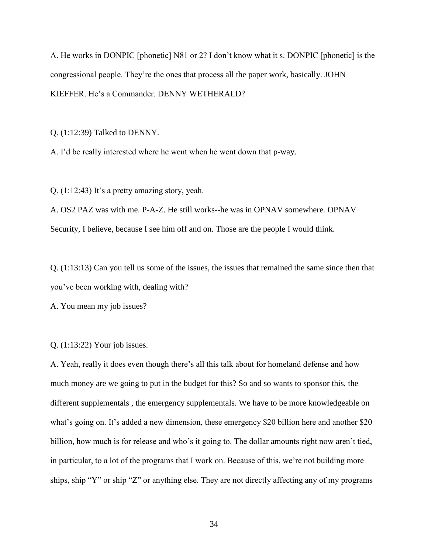A. He works in DONPIC [phonetic] N81 or 2? I don't know what it s. DONPIC [phonetic] is the congressional people. They're the ones that process all the paper work, basically. JOHN KIEFFER. He's a Commander. DENNY WETHERALD?

Q. (1:12:39) Talked to DENNY.

A. I'd be really interested where he went when he went down that p-way.

Q. (1:12:43) It's a pretty amazing story, yeah.

A. OS2 PAZ was with me. P-A-Z. He still works--he was in OPNAV somewhere. OPNAV Security, I believe, because I see him off and on. Those are the people I would think.

Q. (1:13:13) Can you tell us some of the issues, the issues that remained the same since then that you've been working with, dealing with?

A. You mean my job issues?

Q. (1:13:22) Your job issues.

A. Yeah, really it does even though there's all this talk about for homeland defense and how much money are we going to put in the budget for this? So and so wants to sponsor this, the different supplementals , the emergency supplementals. We have to be more knowledgeable on what's going on. It's added a new dimension, these emergency \$20 billion here and another \$20 billion, how much is for release and who's it going to. The dollar amounts right now aren't tied, in particular, to a lot of the programs that I work on. Because of this, we're not building more ships, ship "Y" or ship "Z" or anything else. They are not directly affecting any of my programs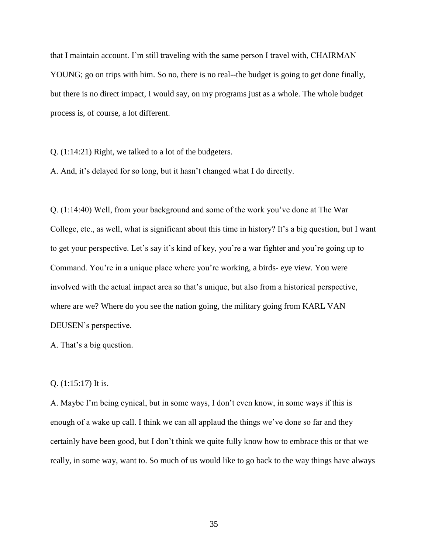that I maintain account. I'm still traveling with the same person I travel with, CHAIRMAN YOUNG; go on trips with him. So no, there is no real--the budget is going to get done finally, but there is no direct impact, I would say, on my programs just as a whole. The whole budget process is, of course, a lot different.

Q. (1:14:21) Right, we talked to a lot of the budgeters.

A. And, it's delayed for so long, but it hasn't changed what I do directly.

Q. (1:14:40) Well, from your background and some of the work you've done at The War College, etc., as well, what is significant about this time in history? It's a big question, but I want to get your perspective. Let's say it's kind of key, you're a war fighter and you're going up to Command. You're in a unique place where you're working, a birds- eye view. You were involved with the actual impact area so that's unique, but also from a historical perspective, where are we? Where do you see the nation going, the military going from KARL VAN DEUSEN's perspective.

A. That's a big question.

## Q. (1:15:17) It is.

A. Maybe I'm being cynical, but in some ways, I don't even know, in some ways if this is enough of a wake up call. I think we can all applaud the things we've done so far and they certainly have been good, but I don't think we quite fully know how to embrace this or that we really, in some way, want to. So much of us would like to go back to the way things have always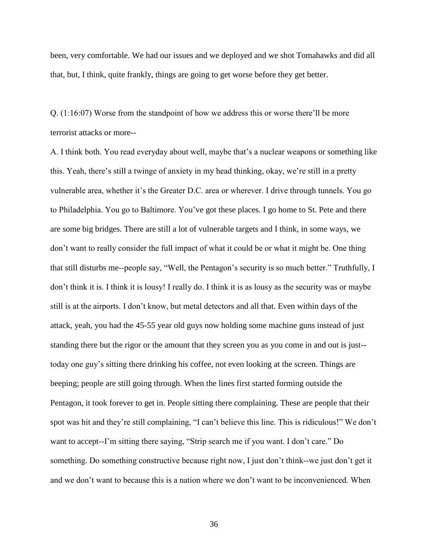been, very comfortable. We had our issues and we deployed and we shot Tomahawks and did all that, but, I think, quite frankly, things are going to get worse before they get better.

Q. (1:16:07) Worse from the standpoint of how we address this or worse there'll be more terrorist attacks or more--

A. I think both. You read everyday about well, maybe that's a nuclear weapons or something like this. Yeah, there's still a twinge of anxiety in my head thinking, okay, we're still in a pretty vulnerable area, whether it's the Greater D.C. area or wherever. I drive through tunnels. You go to Philadelphia. You go to Baltimore. You've got these places. I go home to St. Pete and there are some big bridges. There are still a lot of vulnerable targets and I think, in some ways, we don't want to really consider the full impact of what it could be or what it might be. One thing that still disturbs me--people say, "Well, the Pentagon's security is so much better." Truthfully, I don't think it is. I think it is lousy! I really do. I think it is as lousy as the security was or maybe still is at the airports. I don't know, but metal detectors and all that. Even within days of the attack, yeah, you had the 45-55 year old guys now holding some machine guns instead of just standing there but the rigor or the amount that they screen you as you come in and out is just- today one guy's sitting there drinking his coffee, not even looking at the screen. Things are beeping; people are still going through. When the lines first started forming outside the Pentagon, it took forever to get in. People sitting there complaining. These are people that their spot was hit and they're still complaining, "I can't believe this line. This is ridiculous!" We don't want to accept--I'm sitting there saying, "Strip search me if you want. I don't care." Do something. Do something constructive because right now, I just don't think--we just don't get it and we don't want to because this is a nation where we don't want to be inconvenienced. When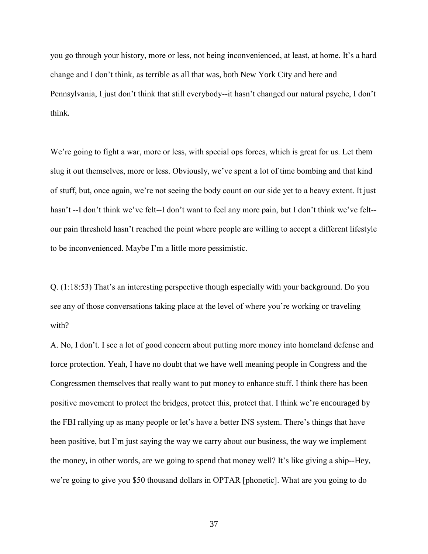you go through your history, more or less, not being inconvenienced, at least, at home. It's a hard change and I don't think, as terrible as all that was, both New York City and here and Pennsylvania, I just don't think that still everybody--it hasn't changed our natural psyche, I don't think.

We're going to fight a war, more or less, with special ops forces, which is great for us. Let them slug it out themselves, more or less. Obviously, we've spent a lot of time bombing and that kind of stuff, but, once again, we're not seeing the body count on our side yet to a heavy extent. It just hasn't --I don't think we've felt--I don't want to feel any more pain, but I don't think we've felt- our pain threshold hasn't reached the point where people are willing to accept a different lifestyle to be inconvenienced. Maybe I'm a little more pessimistic.

Q. (1:18:53) That's an interesting perspective though especially with your background. Do you see any of those conversations taking place at the level of where you're working or traveling with?

A. No, I don't. I see a lot of good concern about putting more money into homeland defense and force protection. Yeah, I have no doubt that we have well meaning people in Congress and the Congressmen themselves that really want to put money to enhance stuff. I think there has been positive movement to protect the bridges, protect this, protect that. I think we're encouraged by the FBI rallying up as many people or let's have a better INS system. There's things that have been positive, but I'm just saying the way we carry about our business, the way we implement the money, in other words, are we going to spend that money well? It's like giving a ship--Hey, we're going to give you \$50 thousand dollars in OPTAR [phonetic]. What are you going to do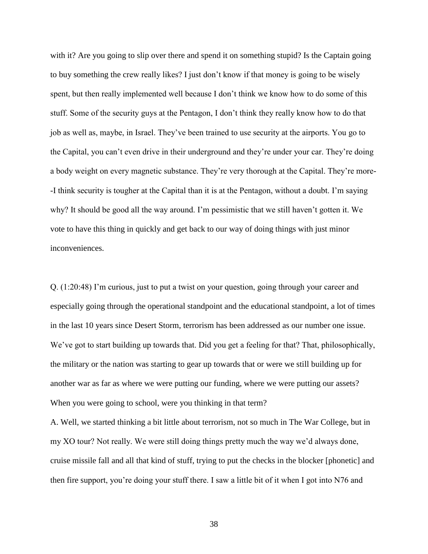with it? Are you going to slip over there and spend it on something stupid? Is the Captain going to buy something the crew really likes? I just don't know if that money is going to be wisely spent, but then really implemented well because I don't think we know how to do some of this stuff. Some of the security guys at the Pentagon, I don't think they really know how to do that job as well as, maybe, in Israel. They've been trained to use security at the airports. You go to the Capital, you can't even drive in their underground and they're under your car. They're doing a body weight on every magnetic substance. They're very thorough at the Capital. They're more- -I think security is tougher at the Capital than it is at the Pentagon, without a doubt. I'm saying why? It should be good all the way around. I'm pessimistic that we still haven't gotten it. We vote to have this thing in quickly and get back to our way of doing things with just minor inconveniences.

Q. (1:20:48) I'm curious, just to put a twist on your question, going through your career and especially going through the operational standpoint and the educational standpoint, a lot of times in the last 10 years since Desert Storm, terrorism has been addressed as our number one issue. We've got to start building up towards that. Did you get a feeling for that? That, philosophically, the military or the nation was starting to gear up towards that or were we still building up for another war as far as where we were putting our funding, where we were putting our assets? When you were going to school, were you thinking in that term?

A. Well, we started thinking a bit little about terrorism, not so much in The War College, but in my XO tour? Not really. We were still doing things pretty much the way we'd always done, cruise missile fall and all that kind of stuff, trying to put the checks in the blocker [phonetic] and then fire support, you're doing your stuff there. I saw a little bit of it when I got into N76 and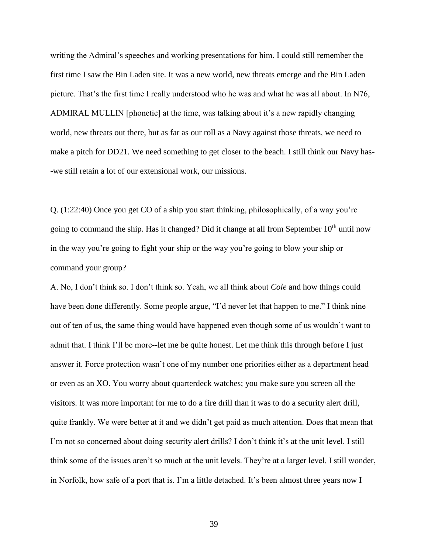writing the Admiral's speeches and working presentations for him. I could still remember the first time I saw the Bin Laden site. It was a new world, new threats emerge and the Bin Laden picture. That's the first time I really understood who he was and what he was all about. In N76, ADMIRAL MULLIN [phonetic] at the time, was talking about it's a new rapidly changing world, new threats out there, but as far as our roll as a Navy against those threats, we need to make a pitch for DD21. We need something to get closer to the beach. I still think our Navy has- -we still retain a lot of our extensional work, our missions.

Q. (1:22:40) Once you get CO of a ship you start thinking, philosophically, of a way you're going to command the ship. Has it changed? Did it change at all from September 10<sup>th</sup> until now in the way you're going to fight your ship or the way you're going to blow your ship or command your group?

A. No, I don't think so. I don't think so. Yeah, we all think about *Cole* and how things could have been done differently. Some people argue, "I'd never let that happen to me." I think nine out of ten of us, the same thing would have happened even though some of us wouldn't want to admit that. I think I'll be more--let me be quite honest. Let me think this through before I just answer it. Force protection wasn't one of my number one priorities either as a department head or even as an XO. You worry about quarterdeck watches; you make sure you screen all the visitors. It was more important for me to do a fire drill than it was to do a security alert drill, quite frankly. We were better at it and we didn't get paid as much attention. Does that mean that I'm not so concerned about doing security alert drills? I don't think it's at the unit level. I still think some of the issues aren't so much at the unit levels. They're at a larger level. I still wonder, in Norfolk, how safe of a port that is. I'm a little detached. It's been almost three years now I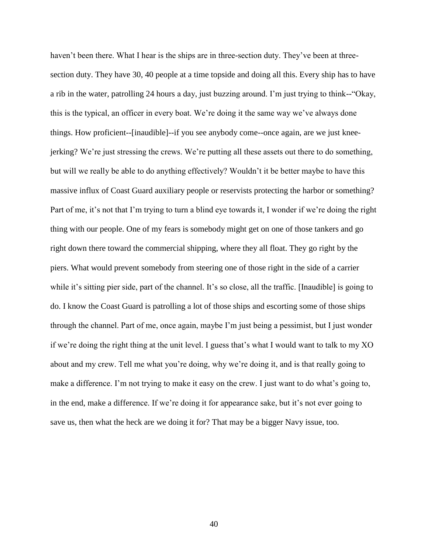haven't been there. What I hear is the ships are in three-section duty. They've been at threesection duty. They have 30, 40 people at a time topside and doing all this. Every ship has to have a rib in the water, patrolling 24 hours a day, just buzzing around. I'm just trying to think--"Okay, this is the typical, an officer in every boat. We're doing it the same way we've always done things. How proficient--[inaudible]--if you see anybody come--once again, are we just kneejerking? We're just stressing the crews. We're putting all these assets out there to do something, but will we really be able to do anything effectively? Wouldn't it be better maybe to have this massive influx of Coast Guard auxiliary people or reservists protecting the harbor or something? Part of me, it's not that I'm trying to turn a blind eye towards it, I wonder if we're doing the right thing with our people. One of my fears is somebody might get on one of those tankers and go right down there toward the commercial shipping, where they all float. They go right by the piers. What would prevent somebody from steering one of those right in the side of a carrier while it's sitting pier side, part of the channel. It's so close, all the traffic. [Inaudible] is going to do. I know the Coast Guard is patrolling a lot of those ships and escorting some of those ships through the channel. Part of me, once again, maybe I'm just being a pessimist, but I just wonder if we're doing the right thing at the unit level. I guess that's what I would want to talk to my XO about and my crew. Tell me what you're doing, why we're doing it, and is that really going to make a difference. I'm not trying to make it easy on the crew. I just want to do what's going to, in the end, make a difference. If we're doing it for appearance sake, but it's not ever going to save us, then what the heck are we doing it for? That may be a bigger Navy issue, too.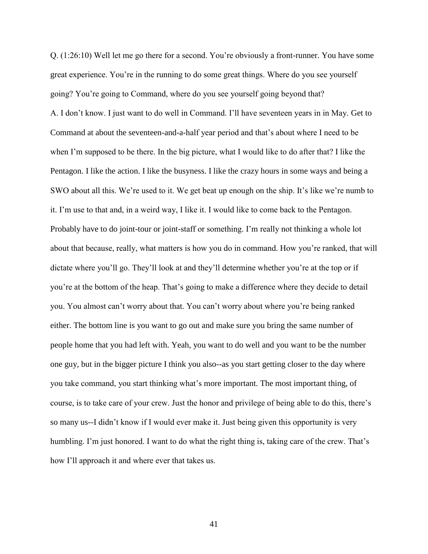Q. (1:26:10) Well let me go there for a second. You're obviously a front-runner. You have some great experience. You're in the running to do some great things. Where do you see yourself going? You're going to Command, where do you see yourself going beyond that? A. I don't know. I just want to do well in Command. I'll have seventeen years in in May. Get to Command at about the seventeen-and-a-half year period and that's about where I need to be when I'm supposed to be there. In the big picture, what I would like to do after that? I like the Pentagon. I like the action. I like the busyness. I like the crazy hours in some ways and being a SWO about all this. We're used to it. We get beat up enough on the ship. It's like we're numb to it. I'm use to that and, in a weird way, I like it. I would like to come back to the Pentagon. Probably have to do joint-tour or joint-staff or something. I'm really not thinking a whole lot about that because, really, what matters is how you do in command. How you're ranked, that will dictate where you'll go. They'll look at and they'll determine whether you're at the top or if you're at the bottom of the heap. That's going to make a difference where they decide to detail you. You almost can't worry about that. You can't worry about where you're being ranked either. The bottom line is you want to go out and make sure you bring the same number of people home that you had left with. Yeah, you want to do well and you want to be the number one guy, but in the bigger picture I think you also--as you start getting closer to the day where you take command, you start thinking what's more important. The most important thing, of course, is to take care of your crew. Just the honor and privilege of being able to do this, there's so many us--I didn't know if I would ever make it. Just being given this opportunity is very humbling. I'm just honored. I want to do what the right thing is, taking care of the crew. That's how I'll approach it and where ever that takes us.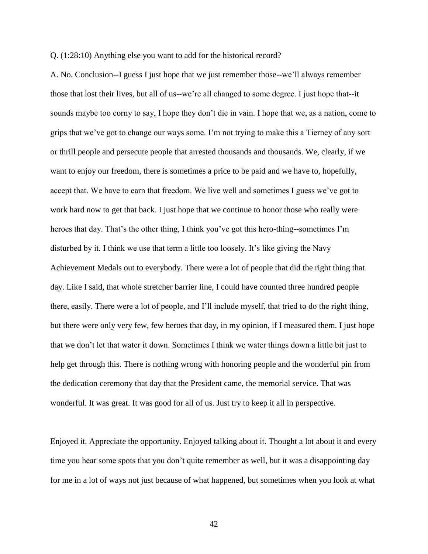Q. (1:28:10) Anything else you want to add for the historical record?

A. No. Conclusion--I guess I just hope that we just remember those--we'll always remember those that lost their lives, but all of us--we're all changed to some degree. I just hope that--it sounds maybe too corny to say, I hope they don't die in vain. I hope that we, as a nation, come to grips that we've got to change our ways some. I'm not trying to make this a Tierney of any sort or thrill people and persecute people that arrested thousands and thousands. We, clearly, if we want to enjoy our freedom, there is sometimes a price to be paid and we have to, hopefully, accept that. We have to earn that freedom. We live well and sometimes I guess we've got to work hard now to get that back. I just hope that we continue to honor those who really were heroes that day. That's the other thing, I think you've got this hero-thing--sometimes I'm disturbed by it. I think we use that term a little too loosely. It's like giving the Navy Achievement Medals out to everybody. There were a lot of people that did the right thing that day. Like I said, that whole stretcher barrier line, I could have counted three hundred people there, easily. There were a lot of people, and I'll include myself, that tried to do the right thing, but there were only very few, few heroes that day, in my opinion, if I measured them. I just hope that we don't let that water it down. Sometimes I think we water things down a little bit just to help get through this. There is nothing wrong with honoring people and the wonderful pin from the dedication ceremony that day that the President came, the memorial service. That was wonderful. It was great. It was good for all of us. Just try to keep it all in perspective.

Enjoyed it. Appreciate the opportunity. Enjoyed talking about it. Thought a lot about it and every time you hear some spots that you don't quite remember as well, but it was a disappointing day for me in a lot of ways not just because of what happened, but sometimes when you look at what